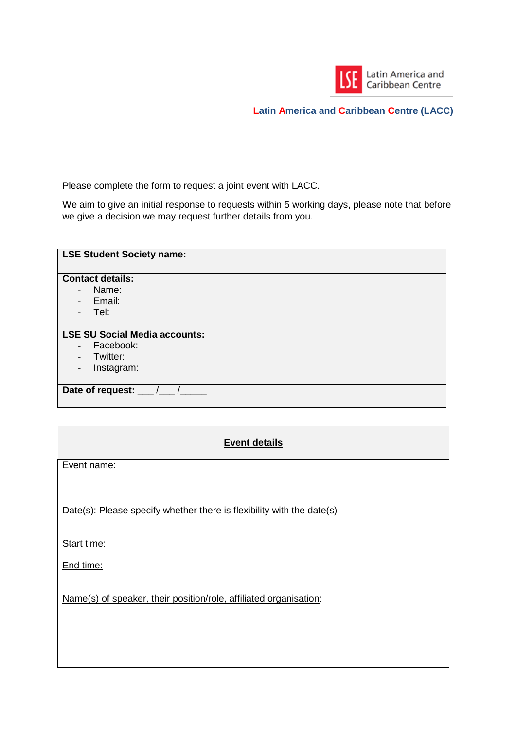

Please complete the form to request a joint event with LACC.

We aim to give an initial response to requests within 5 working days, please note that before we give a decision we may request further details from you.

| <b>LSE Student Society name:</b>     |  |
|--------------------------------------|--|
| <b>Contact details:</b>              |  |
| Name:<br>$\overline{\phantom{m}}$    |  |
| Email:<br>$\overline{\phantom{a}}$   |  |
| Tel:<br>$\qquad \qquad \blacksquare$ |  |
|                                      |  |
| <b>LSE SU Social Media accounts:</b> |  |
| Facebook:<br>$\overline{a}$          |  |
| Twitter:                             |  |
| Instagram:<br>$\qquad \qquad -$      |  |
|                                      |  |
| Date of request: _                   |  |
|                                      |  |

## **Event details**

Event name:

Date(s): Please specify whether there is flexibility with the date(s)

Start time:

End time:

Name(s) of speaker, their position/role, affiliated organisation: